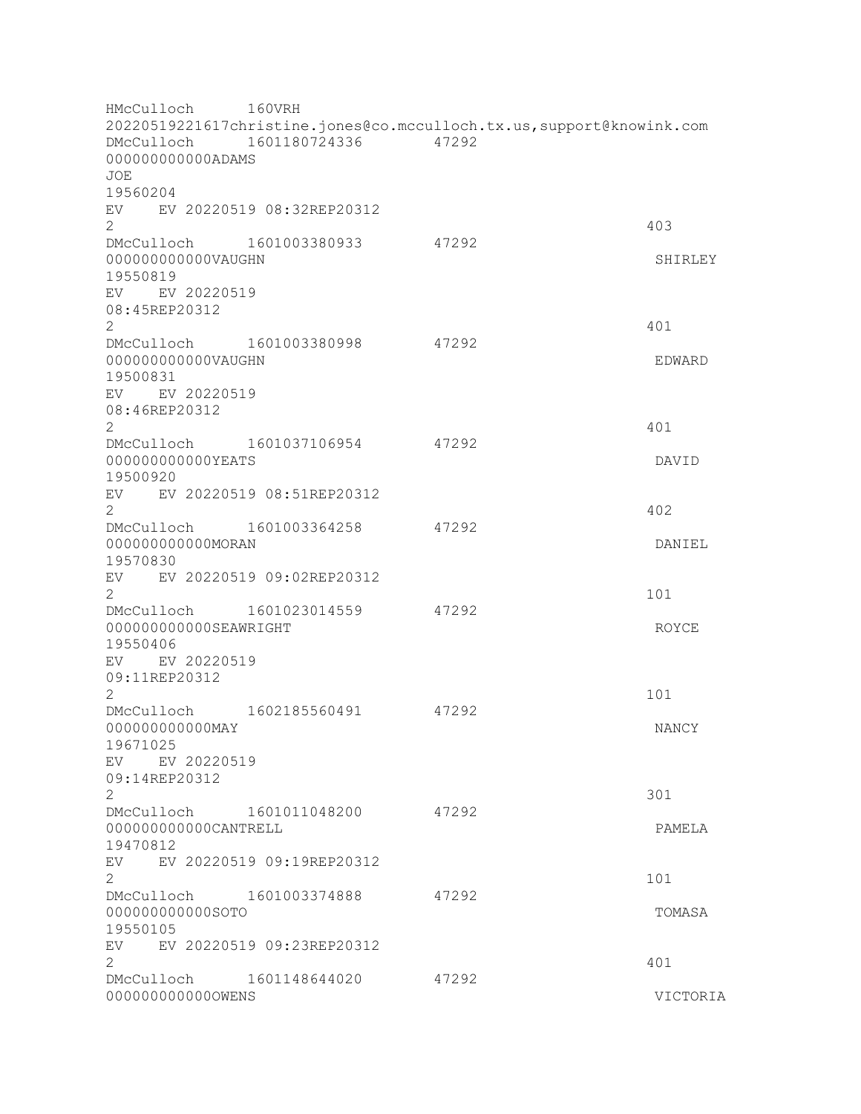HMcCulloch 160VRH 20220519221617christine.jones@co.mcculloch.tx.us,support@knowink.com DMcCulloch 1601180724336 47292 000000000000ADAMS JOE 19560204 EV EV 20220519 08:32REP20312  $2 \times 403$ DMcCulloch 1601003380933 47292 000000000000VAUGHN SHIRLEY 19550819 EV EV 20220519 08:45REP20312 2 401 DMcCulloch 1601003380998 47292 000000000000VAUGHN EDWARD 19500831 EV EV 20220519 08:46REP20312  $2 \times 401$ DMcCulloch 1601037106954 47292 000000000000YEATS DAVID 19500920 EV EV 20220519 08:51REP20312  $2 \times 402$ DMcCulloch 1601003364258 47292 000000000000MORAN DANIEL 19570830 EV EV 20220519 09:02REP20312  $2 \t 101$ DMcCulloch 1601023014559 47292 00000000000000000EAWRIGHT ROYCE 19550406 EV EV 20220519 09:11REP20312  $2 \t 101$ DMcCulloch 1602185560491 47292 000000000000MAY NANCY 19671025 EV EV 20220519 09:14REP20312  $2\,$  301 DMcCulloch 1601011048200 47292 000000000000CANTRELL PAMELA 19470812 EV EV 20220519 09:19REP20312 2 101 DMcCulloch 1601003374888 47292 000000000000SOTO TOMASA 19550105 EV EV 20220519 09:23REP20312  $2 \times 401$ DMcCulloch 1601148644020 47292 000000000000OWENS VICTORIA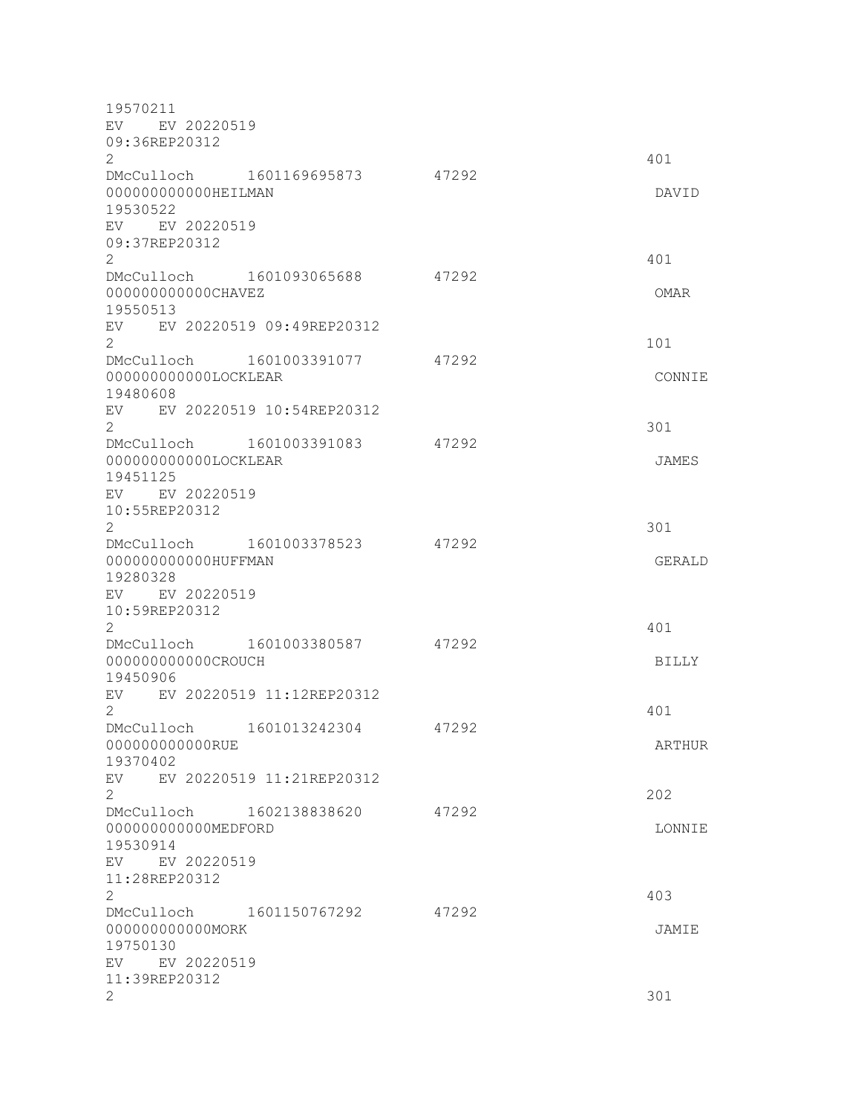| 19570211                                         |                           |       |              |
|--------------------------------------------------|---------------------------|-------|--------------|
| EV EV 20220519                                   |                           |       |              |
| 09:36REP20312<br>$\mathbf{2}^{\prime}$           |                           |       | 401          |
| DMcCulloch 1601169695873                         |                           | 47292 |              |
| 000000000000HEILMAN<br>19530522                  |                           |       | DAVID        |
| EV EV 20220519<br>09:37REP20312                  |                           |       |              |
| $\mathbf{2}$                                     |                           |       | 401          |
| DMcCulloch 1601093065688                         |                           | 47292 |              |
| 00000000000CHAVEZ                                |                           |       | OMAR         |
| 19550513<br>EV EV 20220519 09:49REP20312         |                           |       |              |
| $\overline{2}$                                   |                           |       | 101          |
| DMcCulloch 1601003391077                         |                           | 47292 |              |
| 000000000000LOCKLEAR<br>19480608                 |                           |       | CONNIE       |
| EV EV 20220519 10:54REP20312                     |                           |       |              |
| $\overline{2}$                                   |                           |       | 301          |
| DMcCulloch 1601003391083<br>000000000000LOCKLEAR |                           | 47292 | JAMES        |
| 19451125                                         |                           |       |              |
| EV EV 20220519                                   |                           |       |              |
| 10:55REP20312                                    |                           |       |              |
| $\overline{2}$<br>DMcCulloch 1601003378523       |                           | 47292 | 301          |
| 000000000000HUFFMAN                              |                           |       | GERALD       |
| 19280328                                         |                           |       |              |
| EV EV 20220519                                   |                           |       |              |
| 10:59REP20312<br>$\mathbf{2}^{\prime}$           |                           |       | 401          |
| DMcCulloch                                       | 1601003380587             | 47292 |              |
| 000000000000CROUCH                               |                           |       | <b>BILLY</b> |
| 19450906<br>EV EV 20220519 11:12REP20312         |                           |       |              |
| 2                                                |                           |       | 401          |
| DMcCulloch                                       | 1601013242304             | 47292 |              |
| 000000000000RUE                                  |                           |       | ARTHUR       |
| 19370402<br>EV                                   | EV 20220519 11:21REP20312 |       |              |
| 2                                                |                           |       | 202          |
| DMcCulloch 1602138838620                         |                           | 47292 |              |
| 000000000000MEDFORD<br>19530914                  |                           |       | LONNIE       |
| EV EV 20220519                                   |                           |       |              |
| 11:28REP20312                                    |                           |       |              |
| 2                                                |                           |       | 403          |
| DMcCulloch 1601150767292<br>000000000000MORK     |                           | 47292 | JAMIE        |
| 19750130                                         |                           |       |              |
| EV EV 20220519                                   |                           |       |              |
| 11:39REP20312                                    |                           |       |              |
| 2                                                |                           |       | 301          |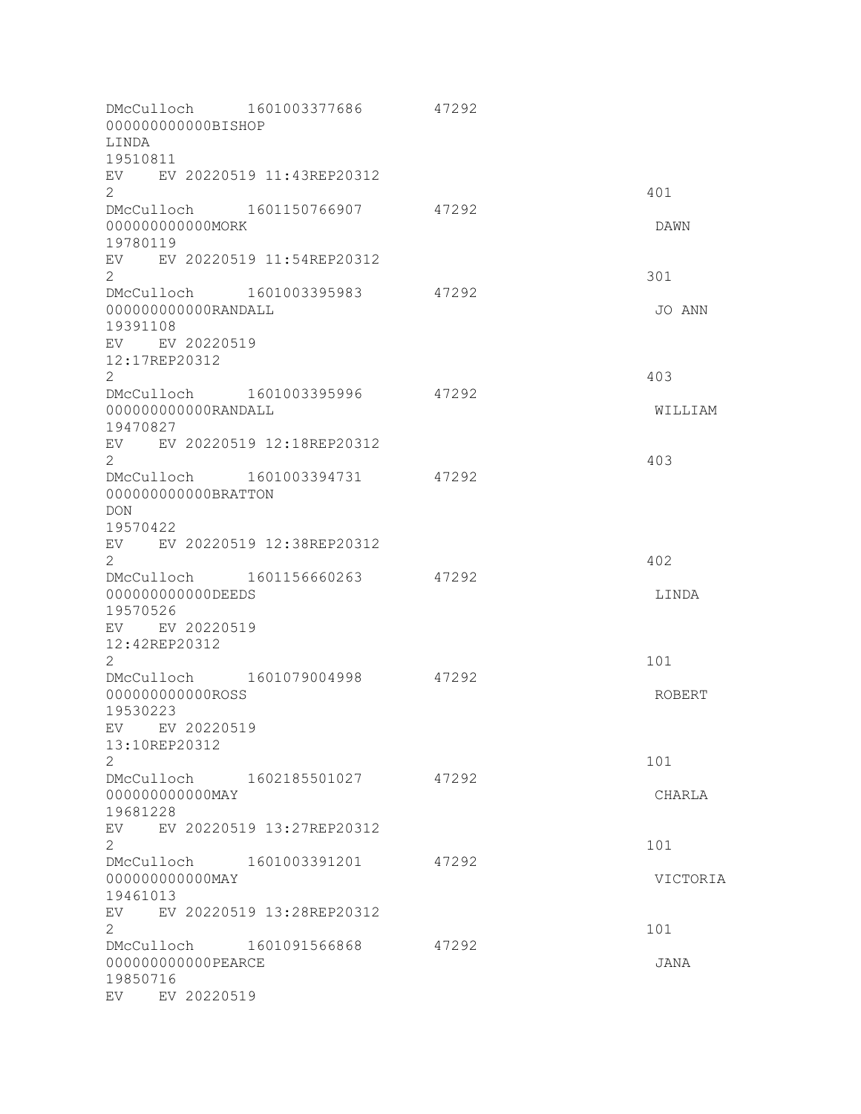| 000000000000BISHOP<br>LINDA                                                                                                  | DMcCulloch 1601003377686       | 47292 |                 |
|------------------------------------------------------------------------------------------------------------------------------|--------------------------------|-------|-----------------|
| 19510811<br>EV EV 20220519 11:43REP20312<br>$\overline{2}$                                                                   |                                |       | 401             |
| DMcCulloch 1601150766907<br>000000000000MORK<br>19780119                                                                     |                                | 47292 | DAWN            |
| EV EV 20220519 11:54REP20312<br>$\overline{2}$<br>DMcCulloch 1601003395983                                                   |                                | 47292 | 301             |
| 000000000000RANDALL<br>19391108<br>EV EV 20220519<br>12:17REP20312<br>$\overline{2}$                                         |                                |       | JO ANN<br>403   |
| DMcCulloch 1601003395996<br>000000000000RANDALL<br>19470827<br>EV EV 20220519 12:18REP20312                                  |                                | 47292 | WILLIAM         |
| $\overline{2}$<br>000000000000BRATTON<br><b>DON</b><br>19570422                                                              | DMcCulloch 1601003394731 47292 |       | 403             |
| EV EV 20220519 12:38REP20312<br>$\overline{2}$<br>DMcCulloch 1601156660263<br>00000000000DEEDS<br>19570526<br>EV EV 20220519 |                                | 47292 | 402<br>LINDA    |
| 12:42REP20312<br>2<br>DMcCulloch 1601079004998<br>00000000000ROSS<br>19530223<br>EV EV 20220519                              |                                | 47292 | 101<br>ROBERT   |
| 13:10REP20312<br>$\mathbf{2}$<br>000000000000MAY<br>19681228                                                                 | DMcCulloch 1602185501027 47292 |       | 101<br>CHARLA   |
| EV<br>$\overline{2}$<br>DMcCulloch 1601003391201<br>00000000000MAY<br>19461013                                               | EV 20220519 13:27REP20312      | 47292 | 101<br>VICTORIA |
| EV<br>2<br>DMcCulloch 1601091566868<br>00000000000PEARCE<br>19850716<br>EV EV 20220519                                       | EV 20220519 13:28REP20312      | 47292 | 101<br>JANA     |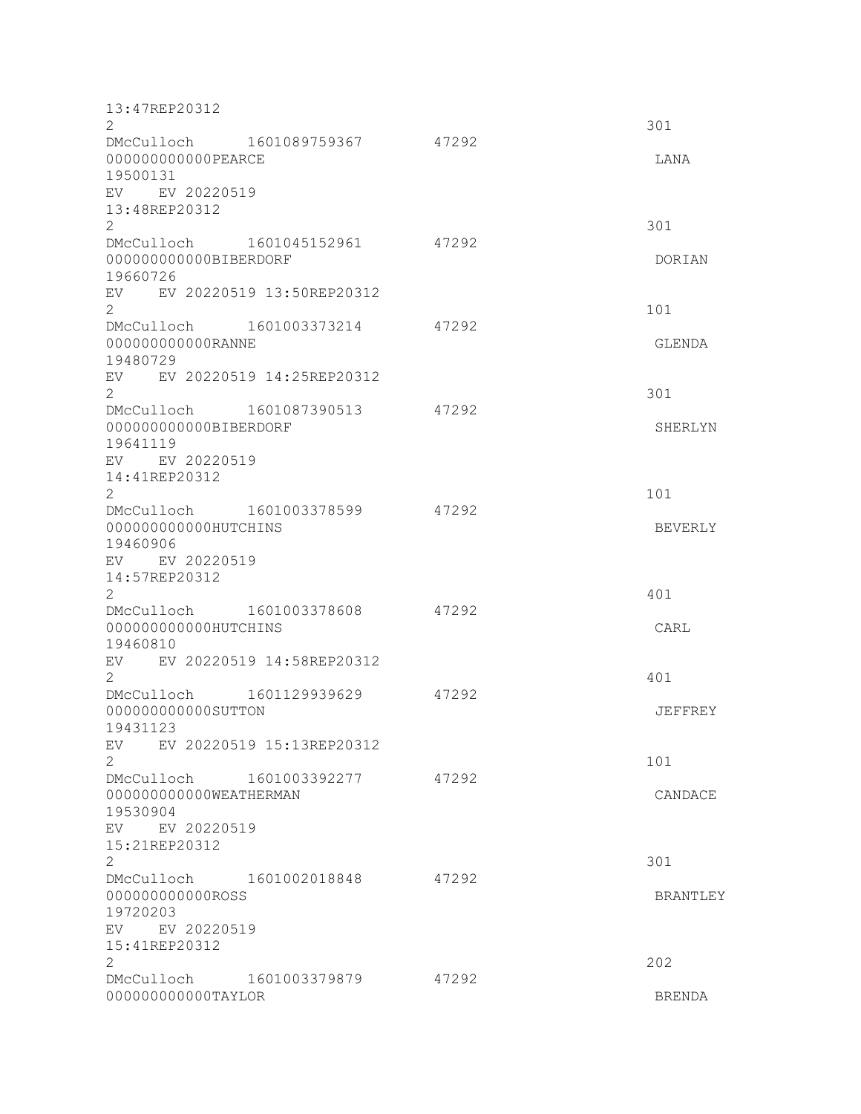| $\overline{2}$<br>301<br>DMcCulloch 1601089759367<br>47292<br>000000000000PEARCE<br>LANA<br>19500131<br>EV EV 20220519<br>13:48REP20312<br>$\overline{2}$<br>301<br>DMcCulloch 1601045152961<br>47292 | DORIAN         |
|-------------------------------------------------------------------------------------------------------------------------------------------------------------------------------------------------------|----------------|
|                                                                                                                                                                                                       |                |
|                                                                                                                                                                                                       |                |
|                                                                                                                                                                                                       |                |
|                                                                                                                                                                                                       |                |
|                                                                                                                                                                                                       |                |
|                                                                                                                                                                                                       |                |
| 000000000000BIBERDORF                                                                                                                                                                                 |                |
| 19660726                                                                                                                                                                                              |                |
| EV EV 20220519 13:50REP20312                                                                                                                                                                          |                |
| $\overline{2}$<br>101                                                                                                                                                                                 |                |
| DMcCulloch 1601003373214<br>47292                                                                                                                                                                     |                |
| 00000000000RANNE<br>GLENDA                                                                                                                                                                            |                |
| 19480729                                                                                                                                                                                              |                |
| EV EV 20220519 14:25REP20312<br>$\overline{2}$<br>301                                                                                                                                                 |                |
| 1601087390513<br>47292<br>DMcCulloch                                                                                                                                                                  |                |
| 000000000000BIBERDORF                                                                                                                                                                                 | SHERLYN        |
| 19641119                                                                                                                                                                                              |                |
| EV EV 20220519                                                                                                                                                                                        |                |
| 14:41REP20312<br>$\mathbf{2}^{\prime}$<br>101                                                                                                                                                         |                |
| DMcCulloch 1601003378599<br>47292                                                                                                                                                                     |                |
| 000000000000HUTCHINS                                                                                                                                                                                  | <b>BEVERLY</b> |
| 19460906                                                                                                                                                                                              |                |
| EV EV 20220519                                                                                                                                                                                        |                |
| 14:57REP20312<br>2<br>401                                                                                                                                                                             |                |
| DMcCulloch 1601003378608<br>47292                                                                                                                                                                     |                |
| 000000000000HUTCHINS<br>CARL                                                                                                                                                                          |                |
| 19460810                                                                                                                                                                                              |                |
| EV 20220519 14:58REP20312<br>EV                                                                                                                                                                       |                |
| $\mathbf{2}$<br>401<br>DMcCulloch 1601129939629<br>47292                                                                                                                                              |                |
| 000000000000SUTTON                                                                                                                                                                                    | JEFFREY        |
| 19431123                                                                                                                                                                                              |                |
| EV 20220519 15:13REP20312<br>EV                                                                                                                                                                       |                |
| 2<br>101                                                                                                                                                                                              |                |
| DMcCulloch 1601003392277<br>47292<br>000000000000WEATHERMAN                                                                                                                                           | CANDACE        |
| 19530904                                                                                                                                                                                              |                |
| EV EV 20220519                                                                                                                                                                                        |                |
| 15:21REP20312                                                                                                                                                                                         |                |
| $\overline{2}$<br>301                                                                                                                                                                                 |                |
| DMcCulloch 1601002018848<br>47292<br>00000000000ROSS                                                                                                                                                  | BRANTLEY       |
| 19720203                                                                                                                                                                                              |                |
| EV EV 20220519                                                                                                                                                                                        |                |
| 15:41REP20312                                                                                                                                                                                         |                |
| $\overline{2}$<br>202                                                                                                                                                                                 |                |
| DMcCulloch 1601003379879<br>47292<br>000000000000TAYLOR<br><b>BRENDA</b>                                                                                                                              |                |